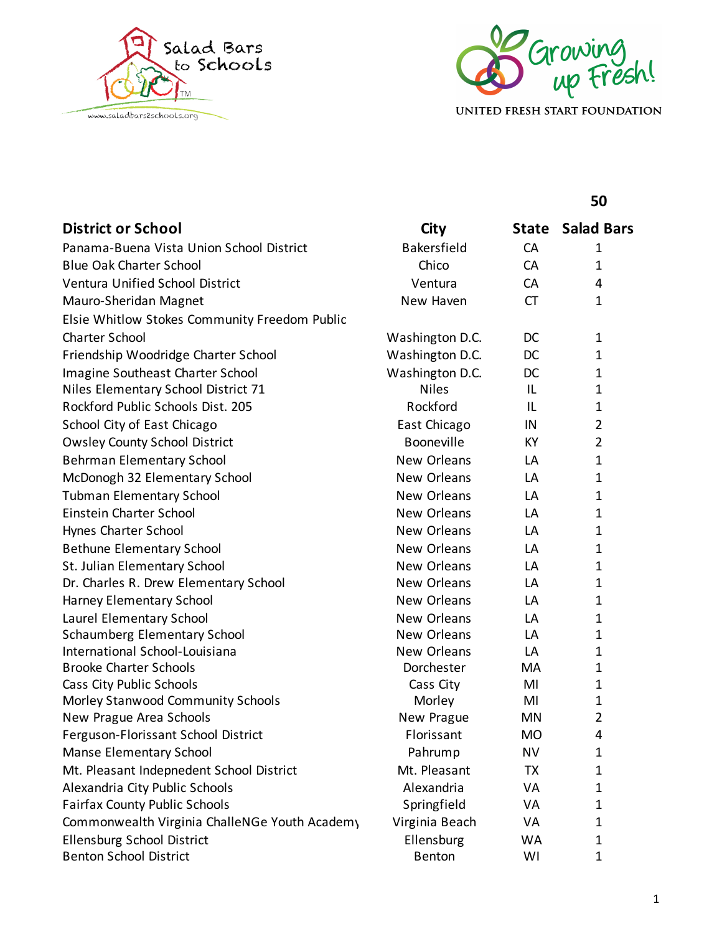



UNITED FRESH START FOUNDATION

## **50**

| <b>District or School</b>                     | City               | State     | <b>Salad Bars</b> |
|-----------------------------------------------|--------------------|-----------|-------------------|
| Panama-Buena Vista Union School District      | <b>Bakersfield</b> | CA        | $\mathbf 1$       |
| <b>Blue Oak Charter School</b>                | Chico              | CA        | 1                 |
| <b>Ventura Unified School District</b>        | Ventura            | CA        | 4                 |
| Mauro-Sheridan Magnet                         | New Haven          | <b>CT</b> | $\mathbf{1}$      |
| Elsie Whitlow Stokes Community Freedom Public |                    |           |                   |
| <b>Charter School</b>                         | Washington D.C.    | DC        | $\mathbf 1$       |
| Friendship Woodridge Charter School           | Washington D.C.    | DC        | $\mathbf 1$       |
| Imagine Southeast Charter School              | Washington D.C.    | DC        | $\mathbf 1$       |
| Niles Elementary School District 71           | <b>Niles</b>       | IL        | $\mathbf 1$       |
| Rockford Public Schools Dist. 205             | Rockford           | IL        | 1                 |
| School City of East Chicago                   | East Chicago       | IN        | $\overline{2}$    |
| <b>Owsley County School District</b>          | Booneville         | KY        | $\overline{2}$    |
| <b>Behrman Elementary School</b>              | New Orleans        | LA        | $\mathbf 1$       |
| McDonogh 32 Elementary School                 | New Orleans        | LA        | $\mathbf 1$       |
| <b>Tubman Elementary School</b>               | <b>New Orleans</b> | LA        | $\mathbf 1$       |
| Einstein Charter School                       | New Orleans        | LA        | $\mathbf{1}$      |
| Hynes Charter School                          | New Orleans        | LA        | 1                 |
| <b>Bethune Elementary School</b>              | <b>New Orleans</b> | LA        | $\mathbf 1$       |
| St. Julian Elementary School                  | New Orleans        | LA        | $\mathbf 1$       |
| Dr. Charles R. Drew Elementary School         | New Orleans        | LA        | $\mathbf 1$       |
| Harney Elementary School                      | New Orleans        | LA        | $\mathbf 1$       |
| Laurel Elementary School                      | New Orleans        | LA        | $\mathbf 1$       |
| <b>Schaumberg Elementary School</b>           | New Orleans        | LA        | $\mathbf 1$       |
| International School-Louisiana                | New Orleans        | LA        | $\mathbf 1$       |
| <b>Brooke Charter Schools</b>                 | Dorchester         | MA        | $\mathbf{1}$      |
| Cass City Public Schools                      | Cass City          | MI        | $\mathbf{1}$      |
| Morley Stanwood Community Schools             | Morley             | MI        | $\mathbf 1$       |
| New Prague Area Schools                       | New Prague         | <b>MN</b> | $\overline{2}$    |
| Ferguson-Florissant School District           | Florissant         | <b>MO</b> | 4                 |
| <b>Manse Elementary School</b>                | Pahrump            | <b>NV</b> | 1                 |
| Mt. Pleasant Indepnedent School District      | Mt. Pleasant       | TX        | 1                 |
| Alexandria City Public Schools                | Alexandria         | VA        | 1                 |
| <b>Fairfax County Public Schools</b>          | Springfield        | VA        | $\mathbf 1$       |
| Commonwealth Virginia ChalleNGe Youth Academy | Virginia Beach     | VA        | $\mathbf 1$       |
| <b>Ellensburg School District</b>             | Ellensburg         | <b>WA</b> | $\mathbf 1$       |
| <b>Benton School District</b>                 | Benton             | WI        | $\mathbf 1$       |